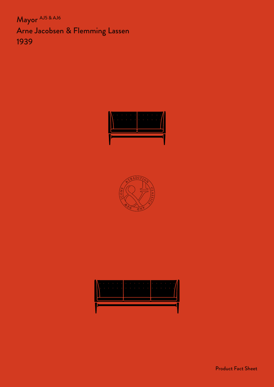Mayor AJ5 & AJ6 Arne Jacobsen & Flemming Lassen 1939







Product Fact Sheet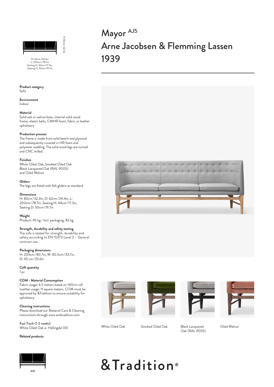

D: 62cm / 24.4in<br>L: 200cm / 78.7ir Seating H: 44cm/17.3in, Seating D: 50cm/19.7in

#### **Product category** Sofa

**Environment** Indoor

## **Material**

Solid oak or walnut base, internal solid wood frame, elastic belts, CMHR foam, fabric or leather upholstery

# **Production process**

The frame is made from solid beech and plywood and subsequently covered in HR foam and polyester wadding. The solid wood legs are turned and CNC milled.

#### **Finishes**

White Oiled Oak, Smoked Oiled Oak Black Lacquered Oak (RAL 9005) and Oiled Walnut

**Gliders** The legs are fitted with felt gliders as standard.

#### **Dimensions**

H: 82cm/32.3in, D: 62cm/24.4in, L: 200cm/78.7in, Seating H: 44cm/17.3in, Seating D: 50cm/19.7in

**Weight** Product: 45 kg / Incl. packaging: 82 kg

# **Strength, durability and safety testing**

The sofa is tested for strength, durability and safety according to EN 15373 Level 2 – General contract use.

**Packaging dimensions** H: 205cm/80.7in, W: 85.5cm/33.7in, D: 65 cm/25.6in

**Colli quantity** 1 pc

#### **COM - Material Consumption**

Fabric usage; 6.5 meters based on 140cm roll Leather usage; 11 square meters. COM must be approved by &Tradition to ensure suitability for upholstery

**Cleaning instructions** Please download our Material Care & Cleaning instructions through www.andtradition.com

Fast Track (1-2 weeks) White Oiled Oak w. Hallingdal 130

# **Related products**



Mayor AJ5 Arne Jacobsen & Flemming Lassen 1939











White Oiled Oak Smoked Oiled Oak Black Lacquered

Oak (RAL 9005)

Oiled Walnut

# & Tradition<sup>®</sup>